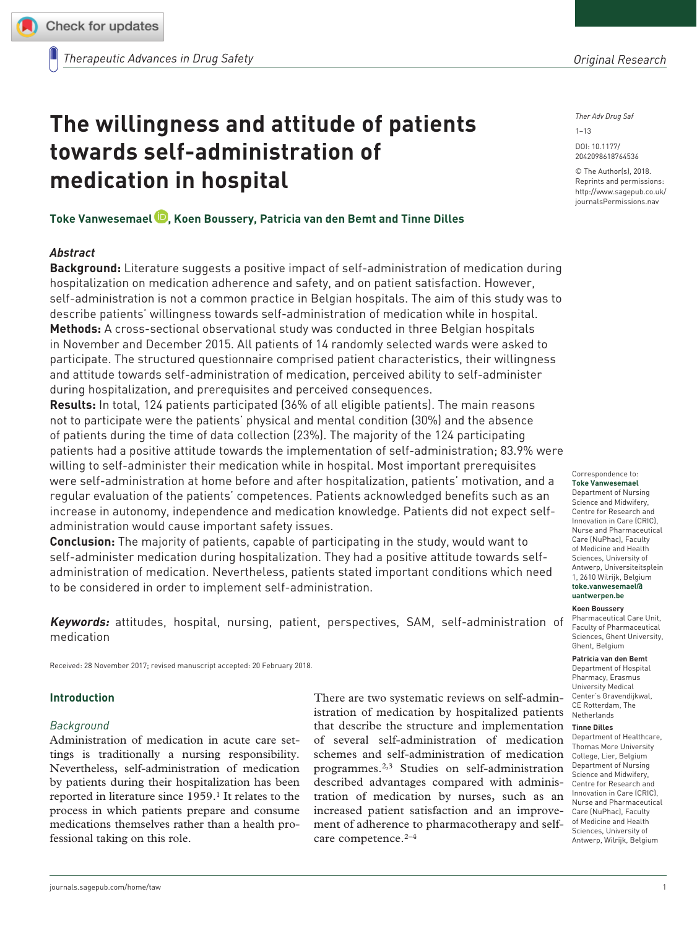**[764536](http://crossmark.crossref.org/dialog/?doi=10.1177%2F2042098618764536&domain=pdf&date_stamp=2018-03-26)** TAW0010.1177/2042098618764536Therapeutic Advances in Drug SafetyT Vanwesemael, K Boussery

research-article2018

# **The willingness and attitude of patients towards self-administration of medication in hospital**

**Toke Vanwesemael , Koen Boussery, Patricia van den Bemt and Tinne Dilles**

# *Abstract*

**Background:** Literature suggests a positive impact of self-administration of medication during hospitalization on medication adherence and safety, and on patient satisfaction. However, self-administration is not a common practice in Belgian hospitals. The aim of this study was to describe patients' willingness towards self-administration of medication while in hospital. **Methods:** A cross-sectional observational study was conducted in three Belgian hospitals in November and December 2015. All patients of 14 randomly selected wards were asked to participate. The structured questionnaire comprised patient characteristics, their willingness and attitude towards self-administration of medication, perceived ability to self-administer during hospitalization, and prerequisites and perceived consequences.

**Results:** In total, 124 patients participated (36% of all eligible patients). The main reasons not to participate were the patients' physical and mental condition (30%) and the absence of patients during the time of data collection (23%). The majority of the 124 participating patients had a positive attitude towards the implementation of self-administration; 83.9% were willing to self-administer their medication while in hospital. Most important prerequisites were self-administration at home before and after hospitalization, patients' motivation, and a regular evaluation of the patients' competences. Patients acknowledged benefits such as an increase in autonomy, independence and medication knowledge. Patients did not expect selfadministration would cause important safety issues.

**Conclusion:** The majority of patients, capable of participating in the study, would want to self-administer medication during hospitalization. They had a positive attitude towards selfadministration of medication. Nevertheless, patients stated important conditions which need to be considered in order to implement self-administration.

**Keywords:** attitudes, hospital, nursing, patient, perspectives, SAM, self-administration of medication

Received: 28 November 2017; revised manuscript accepted: 20 February 2018.

## **Introduction**

## *Background*

Administration of medication in acute care settings is traditionally a nursing responsibility. Nevertheless, self-administration of medication by patients during their hospitalization has been reported in literature since 1959.<sup>1</sup> It relates to the process in which patients prepare and consume medications themselves rather than a health professional taking on this role.

There are two systematic reviews on self-administration of medication by hospitalized patients that describe the structure and implementation of several self-administration of medication schemes and self-administration of medication programmes.2,3 Studies on self-administration described advantages compared with administration of medication by nurses, such as an increased patient satisfaction and an improvement of adherence to pharmacotherapy and selfcare competence.2–4

*Original Research*

*Ther Adv Drug Saf*

 $1 - 13$ 

DOI: 10.1177/ 2042098618764536

© The Author(s), 2018. Reprints and permissions: [http://www.sagepub.co.uk/](https://uk.sagepub.com/en-gb/journals-permissions) [journalsPermissions.nav](https://uk.sagepub.com/en-gb/journals-permissions)

Correspondence to: **Toke Vanwesemael** Department of Nursing Science and Midwifery, Centre for Research and Innovation in Care (CRIC), Nurse and Pharmaceutical Care (NuPhac), Faculty of Medicine and Health Sciences, University of Antwerp, Universiteitsplein 1, 2610 Wilrijk, Belgium **[toke.vanwesemael@](mailto:toke.vanwesemael@uantwerpen.be) [uantwerpen.be](mailto:toke.vanwesemael@uantwerpen.be)**

#### **Koen Boussery**

Pharmaceutical Care Unit, Faculty of Pharmaceutical Sciences, Ghent University, Ghent, Belgium

**Patricia van den Bemt**

Department of Hospital Pharmacy, Erasmus University Medical Center's Gravendijkwal, CE Rotterdam, The Netherlands

#### **Tinne Dilles**

Department of Healthcare, Thomas More University College, Lier, Belgium Department of Nursing Science and Midwifery, Centre for Research and Innovation in Care (CRIC), Nurse and Pharmaceutical Care (NuPhac), Faculty of Medicine and Health Sciences, University of Antwerp, Wilrijk, Belgium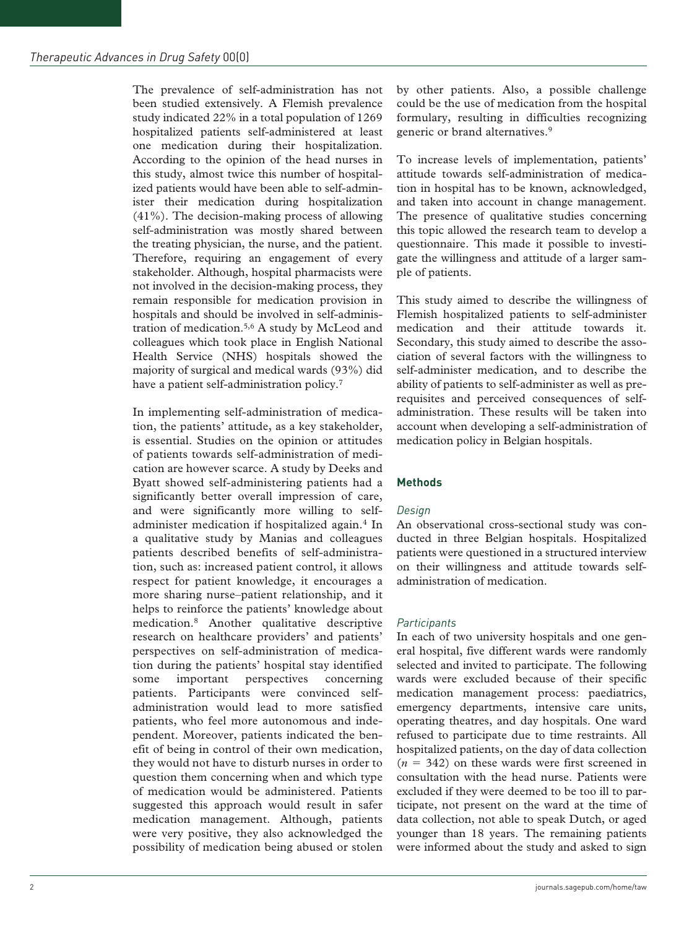The prevalence of self-administration has not been studied extensively. A Flemish prevalence study indicated 22% in a total population of 1269 hospitalized patients self-administered at least one medication during their hospitalization. According to the opinion of the head nurses in this study, almost twice this number of hospitalized patients would have been able to self-administer their medication during hospitalization (41%). The decision-making process of allowing self-administration was mostly shared between the treating physician, the nurse, and the patient. Therefore, requiring an engagement of every stakeholder. Although, hospital pharmacists were not involved in the decision-making process, they remain responsible for medication provision in hospitals and should be involved in self-administration of medication.5,6 A study by McLeod and colleagues which took place in English National Health Service (NHS) hospitals showed the majority of surgical and medical wards (93%) did have a patient self-administration policy.<sup>7</sup>

In implementing self-administration of medication, the patients' attitude, as a key stakeholder, is essential. Studies on the opinion or attitudes of patients towards self-administration of medication are however scarce. A study by Deeks and Byatt showed self-administering patients had a significantly better overall impression of care, and were significantly more willing to selfadminister medication if hospitalized again.4 In a qualitative study by Manias and colleagues patients described benefits of self-administration, such as: increased patient control, it allows respect for patient knowledge, it encourages a more sharing nurse–patient relationship, and it helps to reinforce the patients' knowledge about medication.8 Another qualitative descriptive research on healthcare providers' and patients' perspectives on self-administration of medication during the patients' hospital stay identified some important perspectives concerning patients. Participants were convinced selfadministration would lead to more satisfied patients, who feel more autonomous and independent. Moreover, patients indicated the benefit of being in control of their own medication, they would not have to disturb nurses in order to question them concerning when and which type of medication would be administered. Patients suggested this approach would result in safer medication management. Although, patients were very positive, they also acknowledged the possibility of medication being abused or stolen

by other patients. Also, a possible challenge could be the use of medication from the hospital formulary, resulting in difficulties recognizing generic or brand alternatives.9

To increase levels of implementation, patients' attitude towards self-administration of medication in hospital has to be known, acknowledged, and taken into account in change management. The presence of qualitative studies concerning this topic allowed the research team to develop a questionnaire. This made it possible to investigate the willingness and attitude of a larger sample of patients.

This study aimed to describe the willingness of Flemish hospitalized patients to self-administer medication and their attitude towards it. Secondary, this study aimed to describe the association of several factors with the willingness to self-administer medication, and to describe the ability of patients to self-administer as well as prerequisites and perceived consequences of selfadministration. These results will be taken into account when developing a self-administration of medication policy in Belgian hospitals.

# **Methods**

# *Design*

An observational cross-sectional study was conducted in three Belgian hospitals. Hospitalized patients were questioned in a structured interview on their willingness and attitude towards selfadministration of medication.

# *Participants*

In each of two university hospitals and one general hospital, five different wards were randomly selected and invited to participate. The following wards were excluded because of their specific medication management process: paediatrics, emergency departments, intensive care units, operating theatres, and day hospitals. One ward refused to participate due to time restraints. All hospitalized patients, on the day of data collection  $(n = 342)$  on these wards were first screened in consultation with the head nurse. Patients were excluded if they were deemed to be too ill to participate, not present on the ward at the time of data collection, not able to speak Dutch, or aged younger than 18 years. The remaining patients were informed about the study and asked to sign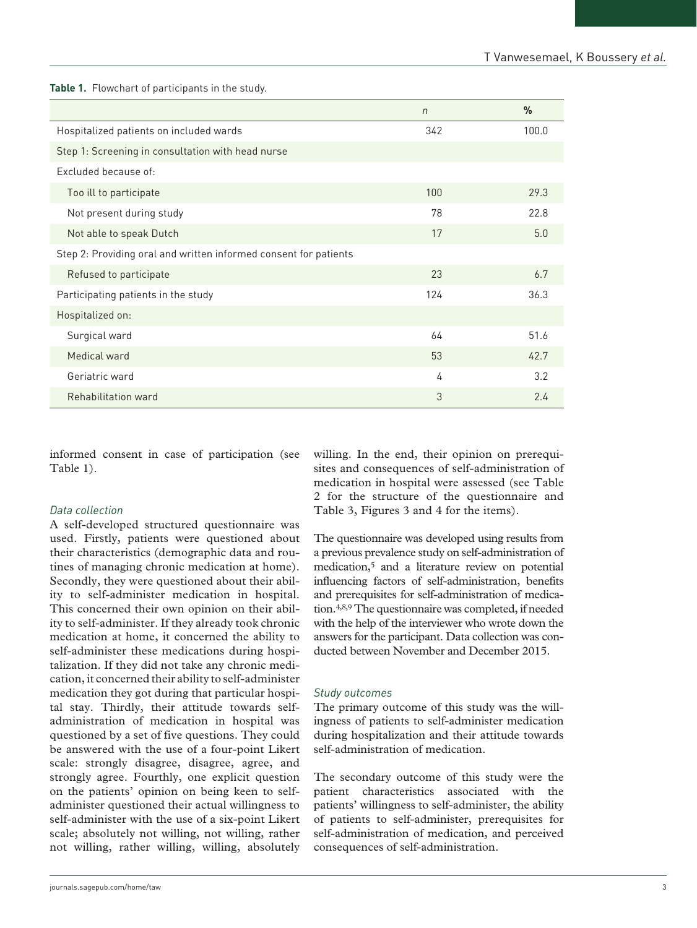**Table 1.** Flowchart of participants in the study.

|                                                                  | $\sqrt{n}$ | $\frac{0}{0}$ |  |  |
|------------------------------------------------------------------|------------|---------------|--|--|
| Hospitalized patients on included wards                          | 342        | 100.0         |  |  |
| Step 1: Screening in consultation with head nurse                |            |               |  |  |
| Excluded because of:                                             |            |               |  |  |
| Too ill to participate                                           | 100        | 29.3          |  |  |
| Not present during study                                         | 78         | 22.8          |  |  |
| Not able to speak Dutch                                          | 17         | 5.0           |  |  |
| Step 2: Providing oral and written informed consent for patients |            |               |  |  |
| Refused to participate                                           | 23         | 6.7           |  |  |
| Participating patients in the study                              | 124        | 36.3          |  |  |
| Hospitalized on:                                                 |            |               |  |  |
| Surgical ward                                                    | 64         | 51.6          |  |  |
| Medical ward                                                     | 53         | 42.7          |  |  |
| Geriatric ward                                                   | 4          | 3.2           |  |  |
| Rehabilitation ward                                              | 3          | 2.4           |  |  |

informed consent in case of participation (see Table 1).

# *Data collection*

A self-developed structured questionnaire was used. Firstly, patients were questioned about their characteristics (demographic data and routines of managing chronic medication at home). Secondly, they were questioned about their ability to self-administer medication in hospital. This concerned their own opinion on their ability to self-administer. If they already took chronic medication at home, it concerned the ability to self-administer these medications during hospitalization. If they did not take any chronic medication, it concerned their ability to self-administer medication they got during that particular hospital stay. Thirdly, their attitude towards selfadministration of medication in hospital was questioned by a set of five questions. They could be answered with the use of a four-point Likert scale: strongly disagree, disagree, agree, and strongly agree. Fourthly, one explicit question on the patients' opinion on being keen to selfadminister questioned their actual willingness to self-administer with the use of a six-point Likert scale; absolutely not willing, not willing, rather not willing, rather willing, willing, absolutely willing. In the end, their opinion on prerequisites and consequences of self-administration of medication in hospital were assessed (see Table 2 for the structure of the questionnaire and Table 3, Figures 3 and 4 for the items).

The questionnaire was developed using results from a previous prevalence study on self-administration of medication,5 and a literature review on potential influencing factors of self-administration, benefits and prerequisites for self-administration of medication.4,8,9 The questionnaire was completed, if needed with the help of the interviewer who wrote down the answers for the participant. Data collection was conducted between November and December 2015.

## *Study outcomes*

The primary outcome of this study was the willingness of patients to self-administer medication during hospitalization and their attitude towards self-administration of medication.

The secondary outcome of this study were the patient characteristics associated with the patients' willingness to self-administer, the ability of patients to self-administer, prerequisites for self-administration of medication, and perceived consequences of self-administration.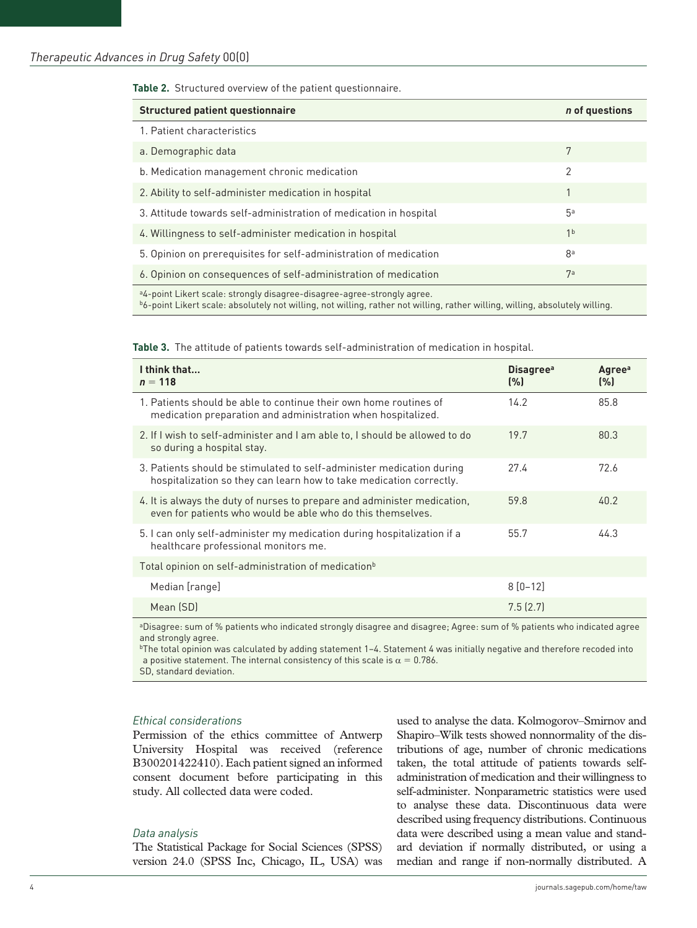**Table 2.** Structured overview of the patient questionnaire.

| <b>Structured patient questionnaire</b>                                             | n of questions |
|-------------------------------------------------------------------------------------|----------------|
| 1. Patient characteristics                                                          |                |
| a. Demographic data                                                                 | 7              |
| b. Medication management chronic medication                                         | 2              |
| 2. Ability to self-administer medication in hospital                                | 1              |
| 3. Attitude towards self-administration of medication in hospital                   | 5a             |
| 4. Willingness to self-administer medication in hospital                            | 1 <sub>b</sub> |
| 5. Opinion on prerequisites for self-administration of medication                   | 8a             |
| 6. Opinion on consequences of self-administration of medication                     | 7а             |
| <sup>a</sup> 4-point Likert scale: strongly disagree-disagree-agree-strongly agree. |                |

b6-point Likert scale: absolutely not willing, not willing, rather not willing, rather willing, willing, absolutely willing.

**Table 3.** The attitude of patients towards self-administration of medication in hospital.

| I think that<br>$n = 118$                                                                                                                    | <b>Disagree</b> <sup>a</sup><br>(%)] | Agree <sup>a</sup><br>(%) |
|----------------------------------------------------------------------------------------------------------------------------------------------|--------------------------------------|---------------------------|
| 1. Patients should be able to continue their own home routines of<br>medication preparation and administration when hospitalized.            | 14.2                                 | 85.8                      |
| 2. If I wish to self-administer and I am able to, I should be allowed to do<br>so during a hospital stay.                                    | 19.7                                 | 80.3                      |
| 3. Patients should be stimulated to self-administer medication during<br>hospitalization so they can learn how to take medication correctly. | 27.4                                 | 72.6                      |
| 4. It is always the duty of nurses to prepare and administer medication,<br>even for patients who would be able who do this themselves.      | 59.8                                 | 40.2                      |
| 5. I can only self-administer my medication during hospitalization if a<br>healthcare professional monitors me.                              | 55.7                                 | 44.3                      |
| Total opinion on self-administration of medication <sup>b</sup>                                                                              |                                      |                           |
| Median [range]                                                                                                                               | $8 [0 - 12]$                         |                           |
| Mean (SD)                                                                                                                                    | 7.5(2.7)                             |                           |

aDisagree: sum of % patients who indicated strongly disagree and disagree; Agree: sum of % patients who indicated agree and strongly agree.

bThe total opinion was calculated by adding statement 1–4. Statement 4 was initially negative and therefore recoded into a positive statement. The internal consistency of this scale is  $\alpha = 0.786$ .

SD, standard deviation.

## *Ethical considerations*

Permission of the ethics committee of Antwerp University Hospital was received (reference B300201422410). Each patient signed an informed consent document before participating in this study. All collected data were coded.

#### *Data analysis*

The Statistical Package for Social Sciences (SPSS) version 24.0 (SPSS Inc, Chicago, IL, USA) was used to analyse the data. Kolmogorov–Smirnov and Shapiro–Wilk tests showed nonnormality of the distributions of age, number of chronic medications taken, the total attitude of patients towards selfadministration of medication and their willingness to self-administer. Nonparametric statistics were used to analyse these data. Discontinuous data were described using frequency distributions. Continuous data were described using a mean value and standard deviation if normally distributed, or using a median and range if non-normally distributed. A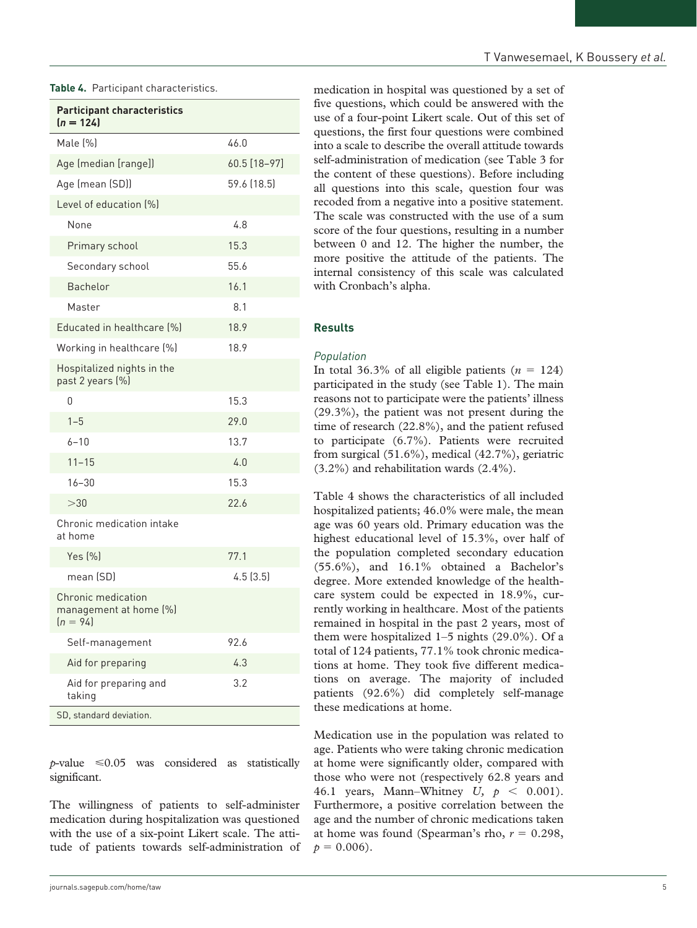| <b>Participant characteristics</b><br>$(n = 124)$          |              |
|------------------------------------------------------------|--------------|
| Male [%]                                                   | 46.0         |
| Age (median [range])                                       | 60.5 [18-97] |
| Age (mean (SD))                                            | 59.6 (18.5)  |
| Level of education [%]                                     |              |
| None                                                       | 4.8          |
| Primary school                                             | 15.3         |
| Secondary school                                           | 55.6         |
| <b>Bachelor</b>                                            | 16.1         |
| Master                                                     | 8.1          |
| Educated in healthcare [%]                                 | 18.9         |
| Working in healthcare [%]                                  | 18.9         |
| Hospitalized nights in the<br>past 2 years (%)             |              |
| 0                                                          | 15.3         |
| $1 - 5$                                                    | 29.0         |
| $6 - 10$                                                   | 13.7         |
| $11 - 15$                                                  | 4.0          |
| $16 - 30$                                                  | 15.3         |
| >30                                                        | 22.6         |
| Chronic medication intake<br>at home                       |              |
| Yes $[%]$                                                  | 77.1         |
| mean (SD)                                                  | 4.5(3.5)     |
| Chronic medication<br>management at home (%)<br>$(n = 94)$ |              |
| Self-management                                            | 92.6         |
| Aid for preparing                                          | 4.3          |
| Aid for preparing and<br>taking                            | 3.2          |
| SD, standard deviation.                                    |              |

**Table 4.** Participant characteristics.

 $p$ -value  $\leq 0.05$  was considered as statistically significant.

The willingness of patients to self-administer medication during hospitalization was questioned with the use of a six-point Likert scale. The attitude of patients towards self-administration of

medication in hospital was questioned by a set of five questions, which could be answered with the use of a four-point Likert scale. Out of this set of questions, the first four questions were combined into a scale to describe the overall attitude towards self-administration of medication (see Table 3 for the content of these questions). Before including all questions into this scale, question four was recoded from a negative into a positive statement. The scale was constructed with the use of a sum score of the four questions, resulting in a number between 0 and 12. The higher the number, the more positive the attitude of the patients. The internal consistency of this scale was calculated with Cronbach's alpha.

# **Results**

## *Population*

In total 36.3% of all eligible patients  $(n = 124)$ participated in the study (see Table 1). The main reasons not to participate were the patients' illness (29.3%), the patient was not present during the time of research (22.8%), and the patient refused to participate (6.7%). Patients were recruited from surgical (51.6%), medical (42.7%), geriatric (3.2%) and rehabilitation wards (2.4%).

Table 4 shows the characteristics of all included hospitalized patients; 46.0% were male, the mean age was 60 years old. Primary education was the highest educational level of 15.3%, over half of the population completed secondary education (55.6%), and 16.1% obtained a Bachelor's degree. More extended knowledge of the healthcare system could be expected in 18.9%, currently working in healthcare. Most of the patients remained in hospital in the past 2 years, most of them were hospitalized 1–5 nights (29.0%). Of a total of 124 patients, 77.1% took chronic medications at home. They took five different medications on average. The majority of included patients (92.6%) did completely self-manage these medications at home.

Medication use in the population was related to age. Patients who were taking chronic medication at home were significantly older, compared with those who were not (respectively 62.8 years and 46.1 years, Mann–Whitney *U, p* < 0.001). Furthermore, a positive correlation between the age and the number of chronic medications taken at home was found (Spearman's rho, *r* = 0.298,  $p = 0.006$ .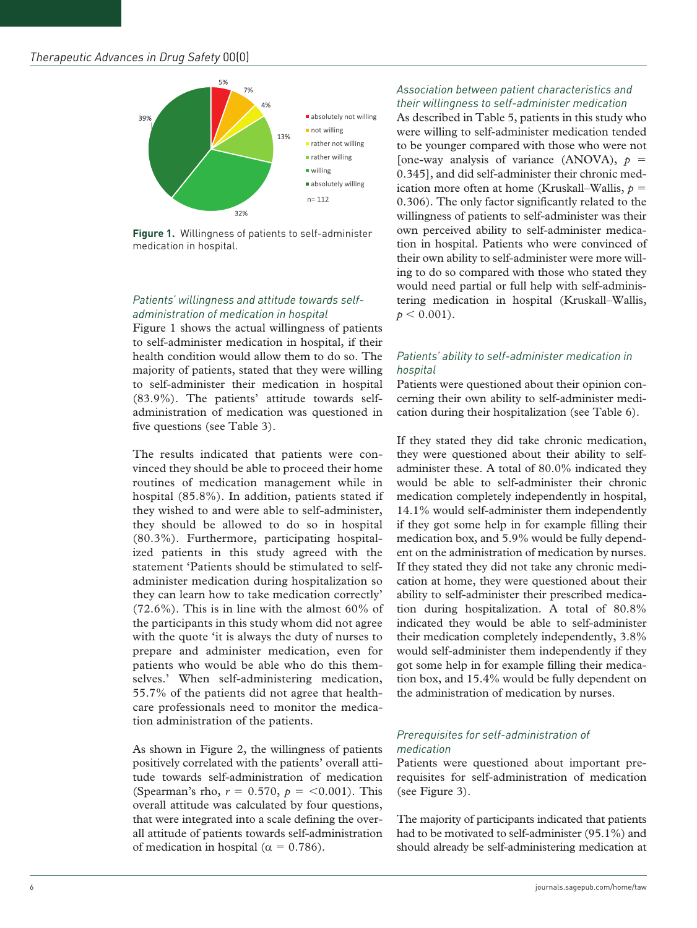

**Figure 1.** Willingness of patients to self-administer medication in hospital.

# *Patients' willingness and attitude towards selfadministration of medication in hospital*

Figure 1 shows the actual willingness of patients to self-administer medication in hospital, if their health condition would allow them to do so. The majority of patients, stated that they were willing to self-administer their medication in hospital (83.9%). The patients' attitude towards selfadministration of medication was questioned in five questions (see Table 3).

The results indicated that patients were convinced they should be able to proceed their home routines of medication management while in hospital (85.8%). In addition, patients stated if they wished to and were able to self-administer, they should be allowed to do so in hospital (80.3%). Furthermore, participating hospitalized patients in this study agreed with the statement 'Patients should be stimulated to selfadminister medication during hospitalization so they can learn how to take medication correctly'  $(72.6\%)$ . This is in line with the almost 60% of the participants in this study whom did not agree with the quote 'it is always the duty of nurses to prepare and administer medication, even for patients who would be able who do this themselves.' When self-administering medication, 55.7% of the patients did not agree that healthcare professionals need to monitor the medication administration of the patients.

As shown in Figure 2, the willingness of patients positively correlated with the patients' overall attitude towards self-administration of medication (Spearman's rho,  $r = 0.570$ ,  $p = <0.001$ ). This overall attitude was calculated by four questions, that were integrated into a scale defining the overall attitude of patients towards self-administration of medication in hospital ( $\alpha = 0.786$ ).

# *Association between patient characteristics and their willingness to self-administer medication*

As described in Table 5, patients in this study who were willing to self-administer medication tended to be younger compared with those who were not [one-way analysis of variance (ANOVA),  $p =$ 0.345], and did self-administer their chronic medication more often at home (Kruskall–Wallis,  $p =$ 0.306). The only factor significantly related to the willingness of patients to self-administer was their own perceived ability to self-administer medication in hospital. Patients who were convinced of their own ability to self-administer were more willing to do so compared with those who stated they would need partial or full help with self-administering medication in hospital (Kruskall–Wallis,  $p < 0.001$ ).

# *Patients' ability to self-administer medication in hospital*

Patients were questioned about their opinion concerning their own ability to self-administer medication during their hospitalization (see Table 6).

If they stated they did take chronic medication, they were questioned about their ability to selfadminister these. A total of 80.0% indicated they would be able to self-administer their chronic medication completely independently in hospital, 14.1% would self-administer them independently if they got some help in for example filling their medication box, and 5.9% would be fully dependent on the administration of medication by nurses. If they stated they did not take any chronic medication at home, they were questioned about their ability to self-administer their prescribed medication during hospitalization. A total of 80.8% indicated they would be able to self-administer their medication completely independently, 3.8% would self-administer them independently if they got some help in for example filling their medication box, and 15.4% would be fully dependent on the administration of medication by nurses.

# *Prerequisites for self-administration of medication*

Patients were questioned about important prerequisites for self-administration of medication (see Figure 3).

The majority of participants indicated that patients had to be motivated to self-administer (95.1%) and should already be self-administering medication at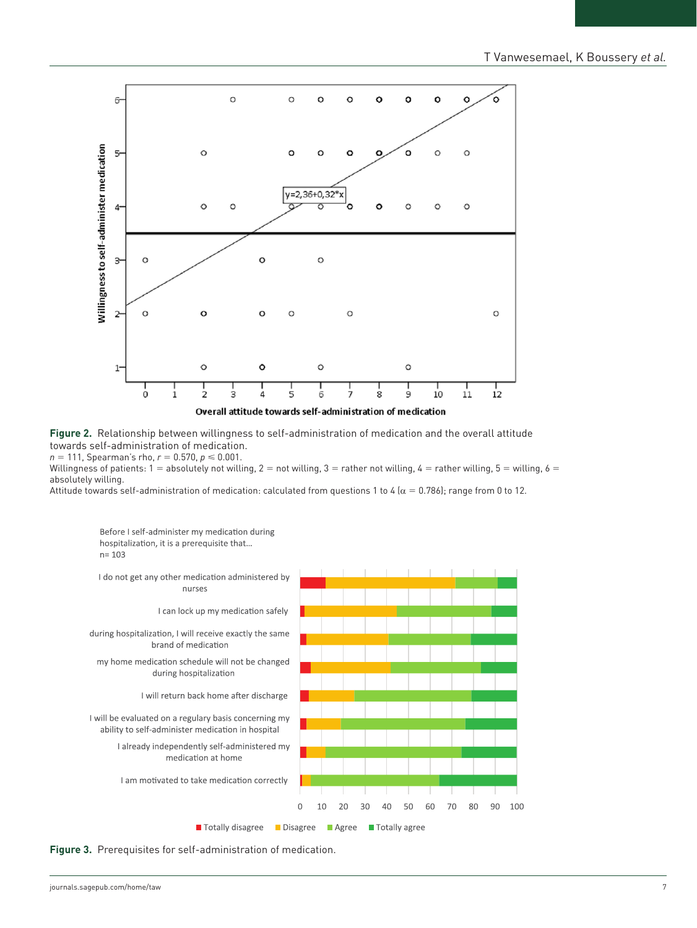

**Figure 2.** Relationship between willingness to self-administration of medication and the overall attitude towards self-administration of medication.  $n = 111$ , Spearman's rho,  $r = 0.570$ ,  $p \le 0.001$ .

Willingness of patients: 1 = absolutely not willing, 2 = not willing, 3 = rather not willing, 4 = rather willing, 5 = willing, 6 = absolutely willing.

Attitude towards self-administration of medication: calculated from questions 1 to 4 ( $\alpha$  = 0.786); range from 0 to 12.



**Figure 3.** Prerequisites for self-administration of medication.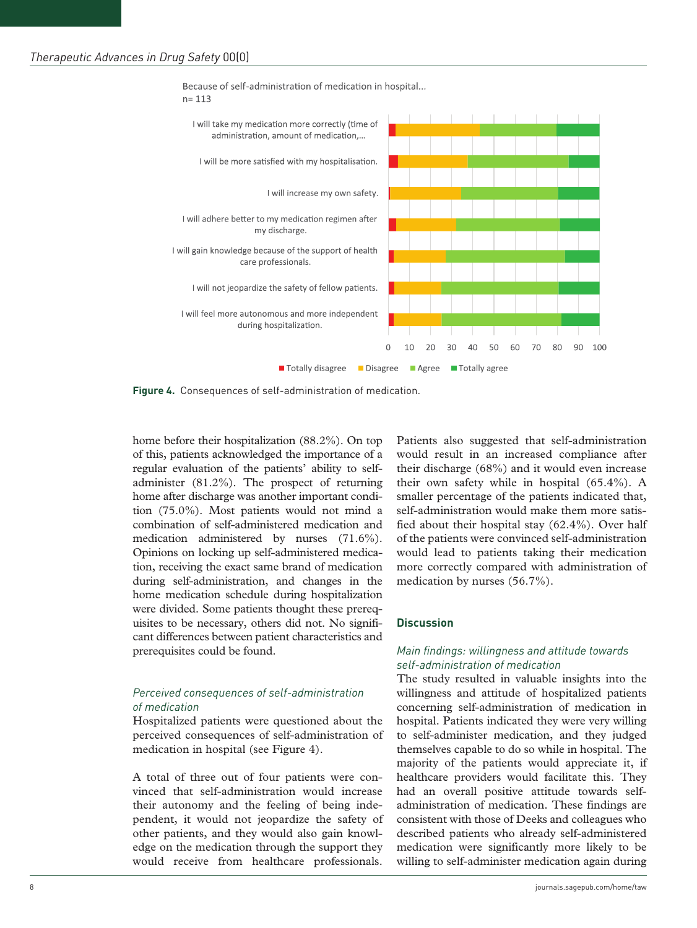Because of self-administration of medication in hospital...



**Figure 4.** Consequences of self-administration of medication.

home before their hospitalization (88.2%). On top of this, patients acknowledged the importance of a regular evaluation of the patients' ability to selfadminister (81.2%). The prospect of returning home after discharge was another important condition (75.0%). Most patients would not mind a combination of self-administered medication and medication administered by nurses (71.6%). Opinions on locking up self-administered medication, receiving the exact same brand of medication during self-administration, and changes in the home medication schedule during hospitalization were divided. Some patients thought these prerequisites to be necessary, others did not. No significant differences between patient characteristics and prerequisites could be found.

## *Perceived consequences of self-administration of medication*

Hospitalized patients were questioned about the perceived consequences of self-administration of medication in hospital (see Figure 4).

A total of three out of four patients were convinced that self-administration would increase their autonomy and the feeling of being independent, it would not jeopardize the safety of other patients, and they would also gain knowledge on the medication through the support they would receive from healthcare professionals.

Patients also suggested that self-administration would result in an increased compliance after their discharge (68%) and it would even increase their own safety while in hospital (65.4%). A smaller percentage of the patients indicated that, self-administration would make them more satisfied about their hospital stay (62.4%). Over half of the patients were convinced self-administration would lead to patients taking their medication more correctly compared with administration of medication by nurses (56.7%).

## **Discussion**

## *Main findings: willingness and attitude towards self-administration of medication*

The study resulted in valuable insights into the willingness and attitude of hospitalized patients concerning self-administration of medication in hospital. Patients indicated they were very willing to self-administer medication, and they judged themselves capable to do so while in hospital. The majority of the patients would appreciate it, if healthcare providers would facilitate this. They had an overall positive attitude towards selfadministration of medication. These findings are consistent with those of Deeks and colleagues who described patients who already self-administered medication were significantly more likely to be willing to self-administer medication again during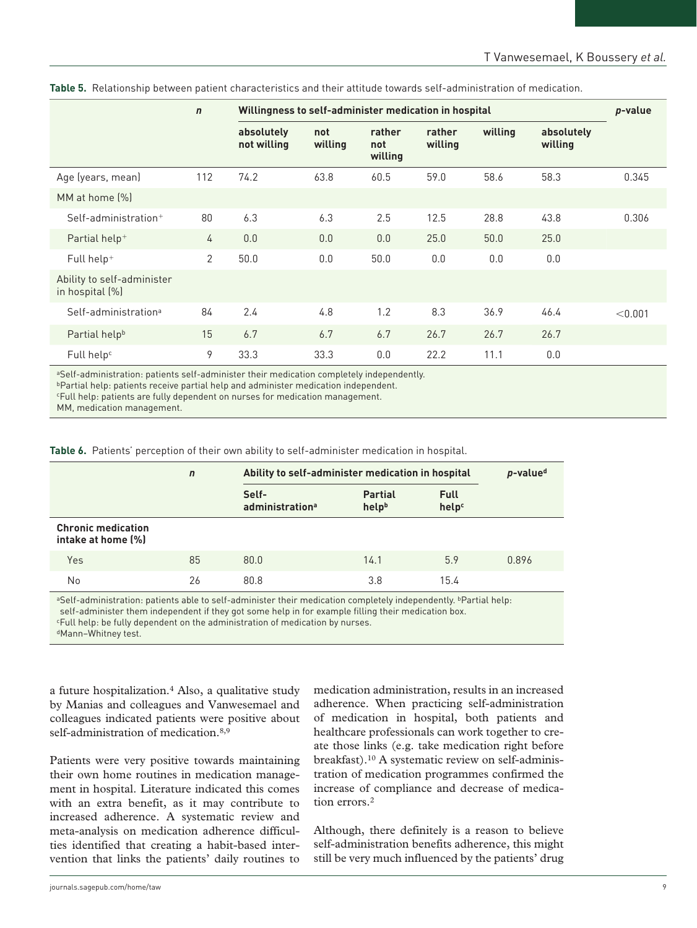|                                               | $\mathbf n$    | Willingness to self-administer medication in hospital |                |                          |                   |         | p-value               |         |
|-----------------------------------------------|----------------|-------------------------------------------------------|----------------|--------------------------|-------------------|---------|-----------------------|---------|
|                                               |                | absolutely<br>not willing                             | not<br>willing | rather<br>not<br>willing | rather<br>willing | willing | absolutely<br>willing |         |
| Age (years, mean)                             | 112            | 74.2                                                  | 63.8           | 60.5                     | 59.0              | 58.6    | 58.3                  | 0.345   |
| MM at home [%]                                |                |                                                       |                |                          |                   |         |                       |         |
| $Set$ -administration $+$                     | 80             | 6.3                                                   | 6.3            | 2.5                      | 12.5              | 28.8    | 43.8                  | 0.306   |
| Partial help <sup>+</sup>                     | 4              | 0.0                                                   | 0.0            | 0.0                      | 25.0              | 50.0    | 25.0                  |         |
| Full help <sup>+</sup>                        | $\overline{2}$ | 50.0                                                  | 0.0            | 50.0                     | 0.0               | 0.0     | 0.0                   |         |
| Ability to self-administer<br>in hospital (%) |                |                                                       |                |                          |                   |         |                       |         |
| Self-administration <sup>a</sup>              | 84             | 2.4                                                   | 4.8            | 1.2                      | 8.3               | 36.9    | 46.4                  | < 0.001 |
| Partial help <sup>b</sup>                     | 15             | 6.7                                                   | 6.7            | 6.7                      | 26.7              | 26.7    | 26.7                  |         |
| Full help <sup>c</sup>                        | 9              | 33.3                                                  | 33.3           | 0.0                      | 22.2              | 11.1    | 0.0                   |         |

**Table 5.** Relationship between patient characteristics and their attitude towards self-administration of medication.

aSelf-administration: patients self-administer their medication completely independently.

bPartial help: patients receive partial help and administer medication independent.

cFull help: patients are fully dependent on nurses for medication management.

MM, medication management.

**Table 6.** Patients' perception of their own ability to self-administer medication in hospital.

|                                                 | $\mathbf n$ | Ability to self-administer medication in hospital | p-value <sup>d</sup>    |                      |       |
|-------------------------------------------------|-------------|---------------------------------------------------|-------------------------|----------------------|-------|
|                                                 |             | Self-<br>administration <sup>a</sup>              | <b>Partial</b><br>helpb | <b>Full</b><br>helpc |       |
| <b>Chronic medication</b><br>intake at home [%] |             |                                                   |                         |                      |       |
| Yes                                             | 85          | 80.0                                              | 14.1                    | 5.9                  | 0.896 |
| No                                              | 26          | 80.8                                              | 3.8                     | 15.4                 |       |

aSelf-administration: patients able to self-administer their medication completely independently. *PPartial help:* self-administer them independent if they got some help in for example filling their medication box. cFull help: be fully dependent on the administration of medication by nurses. dMann–Whitney test.

a future hospitalization.4 Also, a qualitative study by Manias and colleagues and Vanwesemael and colleagues indicated patients were positive about self-administration of medication.<sup>8,9</sup>

Patients were very positive towards maintaining their own home routines in medication management in hospital. Literature indicated this comes with an extra benefit, as it may contribute to increased adherence. A systematic review and meta-analysis on medication adherence difficulties identified that creating a habit-based intervention that links the patients' daily routines to

medication administration, results in an increased adherence. When practicing self-administration of medication in hospital, both patients and healthcare professionals can work together to create those links (e.g. take medication right before breakfast).10 A systematic review on self-administration of medication programmes confirmed the increase of compliance and decrease of medication errors.2

Although, there definitely is a reason to believe self-administration benefits adherence, this might still be very much influenced by the patients' drug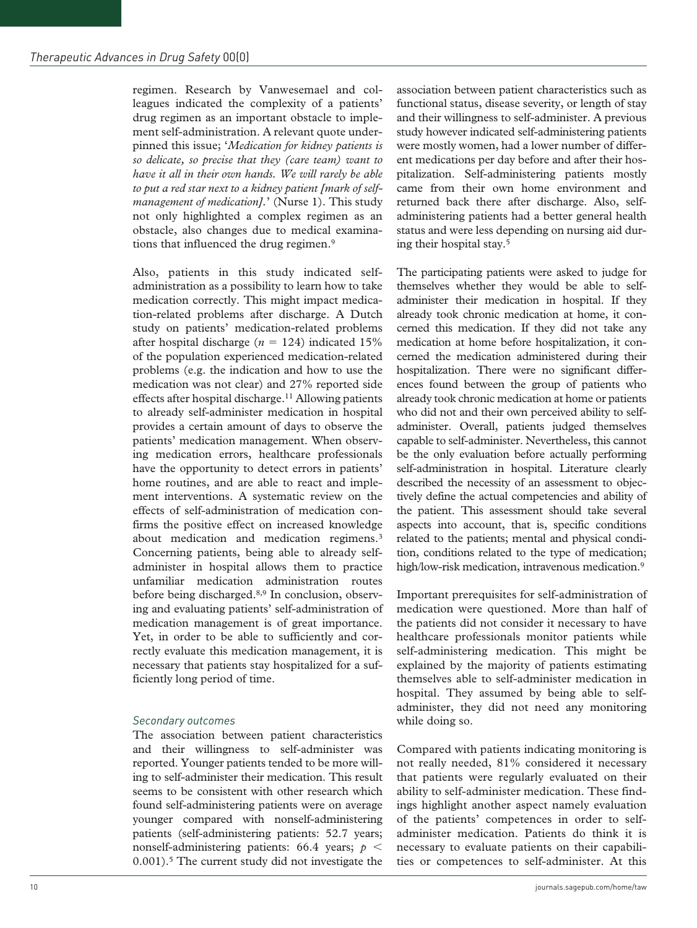regimen. Research by Vanwesemael and colleagues indicated the complexity of a patients' drug regimen as an important obstacle to implement self-administration. A relevant quote underpinned this issue; '*Medication for kidney patients is so delicate, so precise that they (care team) want to have it all in their own hands. We will rarely be able to put a red star next to a kidney patient [mark of selfmanagement of medication].*' (Nurse 1). This study not only highlighted a complex regimen as an obstacle, also changes due to medical examinations that influenced the drug regimen.<sup>9</sup>

Also, patients in this study indicated selfadministration as a possibility to learn how to take medication correctly. This might impact medication-related problems after discharge. A Dutch study on patients' medication-related problems after hospital discharge  $(n = 124)$  indicated 15% of the population experienced medication-related problems (e.g. the indication and how to use the medication was not clear) and 27% reported side effects after hospital discharge.<sup>11</sup> Allowing patients to already self-administer medication in hospital provides a certain amount of days to observe the patients' medication management. When observing medication errors, healthcare professionals have the opportunity to detect errors in patients' home routines, and are able to react and implement interventions. A systematic review on the effects of self-administration of medication confirms the positive effect on increased knowledge about medication and medication regimens.<sup>3</sup> Concerning patients, being able to already selfadminister in hospital allows them to practice unfamiliar medication administration routes before being discharged.8,9 In conclusion, observing and evaluating patients' self-administration of medication management is of great importance. Yet, in order to be able to sufficiently and correctly evaluate this medication management, it is necessary that patients stay hospitalized for a sufficiently long period of time.

## *Secondary outcomes*

The association between patient characteristics and their willingness to self-administer was reported. Younger patients tended to be more willing to self-administer their medication. This result seems to be consistent with other research which found self-administering patients were on average younger compared with nonself-administering patients (self-administering patients: 52.7 years; nonself-administering patients: 66.4 years; *p* < 0.001).<sup>5</sup> The current study did not investigate the association between patient characteristics such as functional status, disease severity, or length of stay and their willingness to self-administer. A previous study however indicated self-administering patients were mostly women, had a lower number of different medications per day before and after their hospitalization. Self-administering patients mostly came from their own home environment and returned back there after discharge. Also, selfadministering patients had a better general health status and were less depending on nursing aid during their hospital stay.5

The participating patients were asked to judge for themselves whether they would be able to selfadminister their medication in hospital. If they already took chronic medication at home, it concerned this medication. If they did not take any medication at home before hospitalization, it concerned the medication administered during their hospitalization. There were no significant differences found between the group of patients who already took chronic medication at home or patients who did not and their own perceived ability to selfadminister. Overall, patients judged themselves capable to self-administer. Nevertheless, this cannot be the only evaluation before actually performing self-administration in hospital. Literature clearly described the necessity of an assessment to objectively define the actual competencies and ability of the patient. This assessment should take several aspects into account, that is, specific conditions related to the patients; mental and physical condition, conditions related to the type of medication; high/low-risk medication, intravenous medication.<sup>9</sup>

Important prerequisites for self-administration of medication were questioned. More than half of the patients did not consider it necessary to have healthcare professionals monitor patients while self-administering medication. This might be explained by the majority of patients estimating themselves able to self-administer medication in hospital. They assumed by being able to selfadminister, they did not need any monitoring while doing so.

Compared with patients indicating monitoring is not really needed, 81% considered it necessary that patients were regularly evaluated on their ability to self-administer medication. These findings highlight another aspect namely evaluation of the patients' competences in order to selfadminister medication. Patients do think it is necessary to evaluate patients on their capabilities or competences to self-administer. At this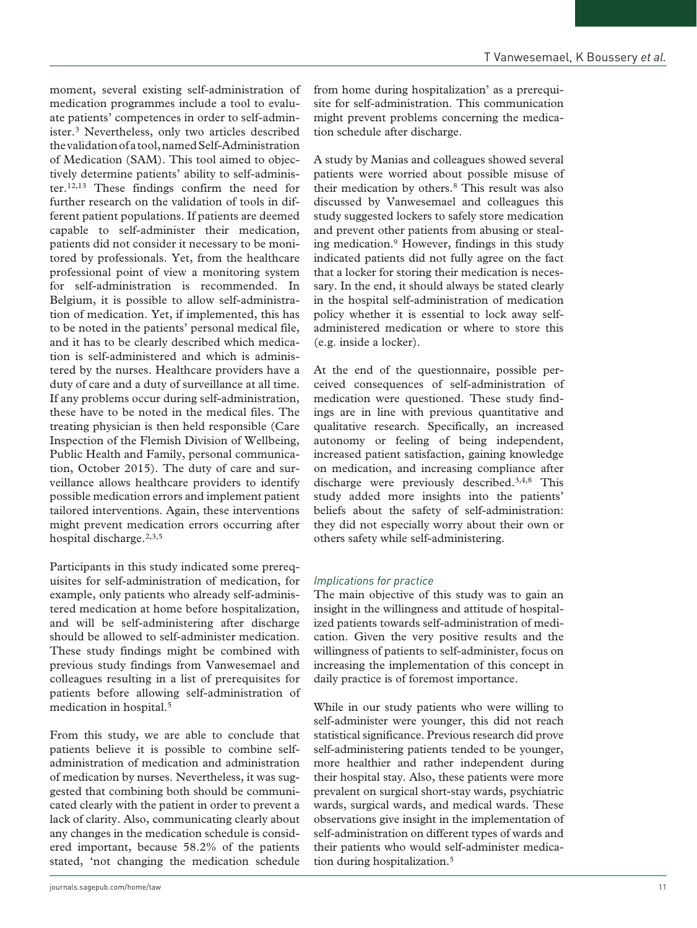moment, several existing self-administration of medication programmes include a tool to evaluate patients' competences in order to self-administer.3 Nevertheless, only two articles described the validation of a tool, named Self-Administration of Medication (SAM). This tool aimed to objectively determine patients' ability to self-administer.12,13 These findings confirm the need for further research on the validation of tools in different patient populations. If patients are deemed capable to self-administer their medication, patients did not consider it necessary to be monitored by professionals. Yet, from the healthcare professional point of view a monitoring system for self-administration is recommended. In Belgium, it is possible to allow self-administration of medication. Yet, if implemented, this has to be noted in the patients' personal medical file, and it has to be clearly described which medication is self-administered and which is administered by the nurses. Healthcare providers have a duty of care and a duty of surveillance at all time. If any problems occur during self-administration, these have to be noted in the medical files. The treating physician is then held responsible (Care Inspection of the Flemish Division of Wellbeing, Public Health and Family, personal communication, October 2015). The duty of care and surveillance allows healthcare providers to identify possible medication errors and implement patient tailored interventions. Again, these interventions might prevent medication errors occurring after hospital discharge.<sup>2,3,5</sup>

Participants in this study indicated some prerequisites for self-administration of medication, for example, only patients who already self-administered medication at home before hospitalization, and will be self-administering after discharge should be allowed to self-administer medication. These study findings might be combined with previous study findings from Vanwesemael and colleagues resulting in a list of prerequisites for patients before allowing self-administration of medication in hospital.5

From this study, we are able to conclude that patients believe it is possible to combine selfadministration of medication and administration of medication by nurses. Nevertheless, it was suggested that combining both should be communicated clearly with the patient in order to prevent a lack of clarity. Also, communicating clearly about any changes in the medication schedule is considered important, because 58.2% of the patients stated, 'not changing the medication schedule

from home during hospitalization' as a prerequisite for self-administration. This communication might prevent problems concerning the medication schedule after discharge.

A study by Manias and colleagues showed several patients were worried about possible misuse of their medication by others.8 This result was also discussed by Vanwesemael and colleagues this study suggested lockers to safely store medication and prevent other patients from abusing or stealing medication.9 However, findings in this study indicated patients did not fully agree on the fact that a locker for storing their medication is necessary. In the end, it should always be stated clearly in the hospital self-administration of medication policy whether it is essential to lock away selfadministered medication or where to store this (e.g. inside a locker).

At the end of the questionnaire, possible perceived consequences of self-administration of medication were questioned. These study findings are in line with previous quantitative and qualitative research. Specifically, an increased autonomy or feeling of being independent, increased patient satisfaction, gaining knowledge on medication, and increasing compliance after discharge were previously described.3,4,8 This study added more insights into the patients' beliefs about the safety of self-administration: they did not especially worry about their own or others safety while self-administering.

# *Implications for practice*

The main objective of this study was to gain an insight in the willingness and attitude of hospitalized patients towards self-administration of medication. Given the very positive results and the willingness of patients to self-administer, focus on increasing the implementation of this concept in daily practice is of foremost importance.

While in our study patients who were willing to self-administer were younger, this did not reach statistical significance. Previous research did prove self-administering patients tended to be younger, more healthier and rather independent during their hospital stay. Also, these patients were more prevalent on surgical short-stay wards, psychiatric wards, surgical wards, and medical wards. These observations give insight in the implementation of self-administration on different types of wards and their patients who would self-administer medication during hospitalization.<sup>5</sup>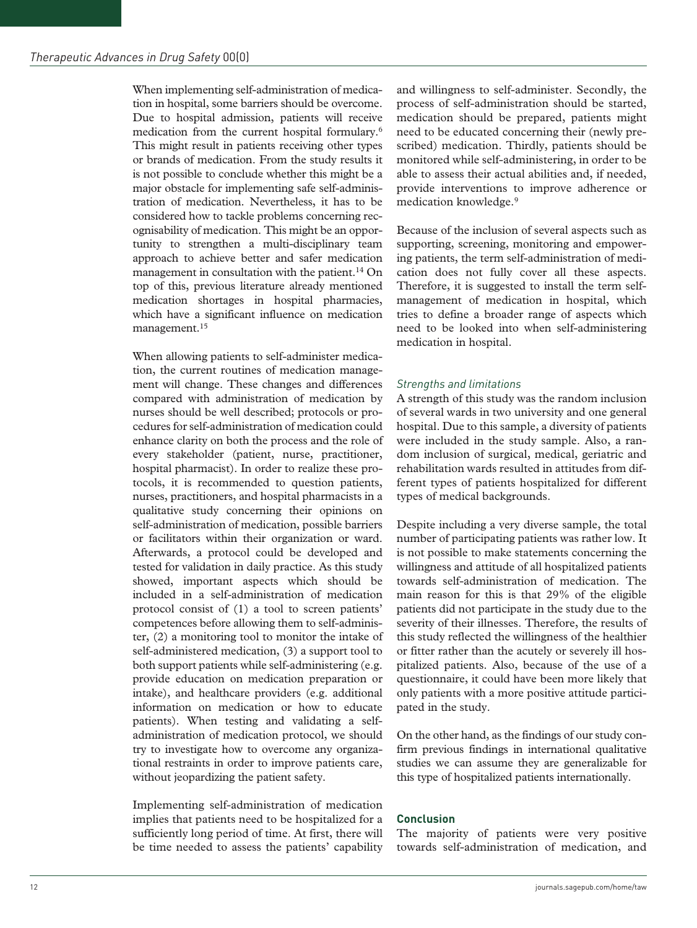When implementing self-administration of medication in hospital, some barriers should be overcome. Due to hospital admission, patients will receive medication from the current hospital formulary.6 This might result in patients receiving other types or brands of medication. From the study results it is not possible to conclude whether this might be a major obstacle for implementing safe self-administration of medication. Nevertheless, it has to be considered how to tackle problems concerning recognisability of medication. This might be an opportunity to strengthen a multi-disciplinary team approach to achieve better and safer medication management in consultation with the patient.<sup>14</sup> On top of this, previous literature already mentioned medication shortages in hospital pharmacies, which have a significant influence on medication management.15

When allowing patients to self-administer medication, the current routines of medication management will change. These changes and differences compared with administration of medication by nurses should be well described; protocols or procedures for self-administration of medication could enhance clarity on both the process and the role of every stakeholder (patient, nurse, practitioner, hospital pharmacist). In order to realize these protocols, it is recommended to question patients, nurses, practitioners, and hospital pharmacists in a qualitative study concerning their opinions on self-administration of medication, possible barriers or facilitators within their organization or ward. Afterwards, a protocol could be developed and tested for validation in daily practice. As this study showed, important aspects which should be included in a self-administration of medication protocol consist of (1) a tool to screen patients' competences before allowing them to self-administer, (2) a monitoring tool to monitor the intake of self-administered medication, (3) a support tool to both support patients while self-administering (e.g. provide education on medication preparation or intake), and healthcare providers (e.g. additional information on medication or how to educate patients). When testing and validating a selfadministration of medication protocol, we should try to investigate how to overcome any organizational restraints in order to improve patients care, without jeopardizing the patient safety.

Implementing self-administration of medication implies that patients need to be hospitalized for a sufficiently long period of time. At first, there will be time needed to assess the patients' capability

and willingness to self-administer. Secondly, the process of self-administration should be started, medication should be prepared, patients might need to be educated concerning their (newly prescribed) medication. Thirdly, patients should be monitored while self-administering, in order to be able to assess their actual abilities and, if needed, provide interventions to improve adherence or medication knowledge.9

Because of the inclusion of several aspects such as supporting, screening, monitoring and empowering patients, the term self-administration of medication does not fully cover all these aspects. Therefore, it is suggested to install the term selfmanagement of medication in hospital, which tries to define a broader range of aspects which need to be looked into when self-administering medication in hospital.

## *Strengths and limitations*

A strength of this study was the random inclusion of several wards in two university and one general hospital. Due to this sample, a diversity of patients were included in the study sample. Also, a random inclusion of surgical, medical, geriatric and rehabilitation wards resulted in attitudes from different types of patients hospitalized for different types of medical backgrounds.

Despite including a very diverse sample, the total number of participating patients was rather low. It is not possible to make statements concerning the willingness and attitude of all hospitalized patients towards self-administration of medication. The main reason for this is that 29% of the eligible patients did not participate in the study due to the severity of their illnesses. Therefore, the results of this study reflected the willingness of the healthier or fitter rather than the acutely or severely ill hospitalized patients. Also, because of the use of a questionnaire, it could have been more likely that only patients with a more positive attitude participated in the study.

On the other hand, as the findings of our study confirm previous findings in international qualitative studies we can assume they are generalizable for this type of hospitalized patients internationally.

## **Conclusion**

The majority of patients were very positive towards self-administration of medication, and